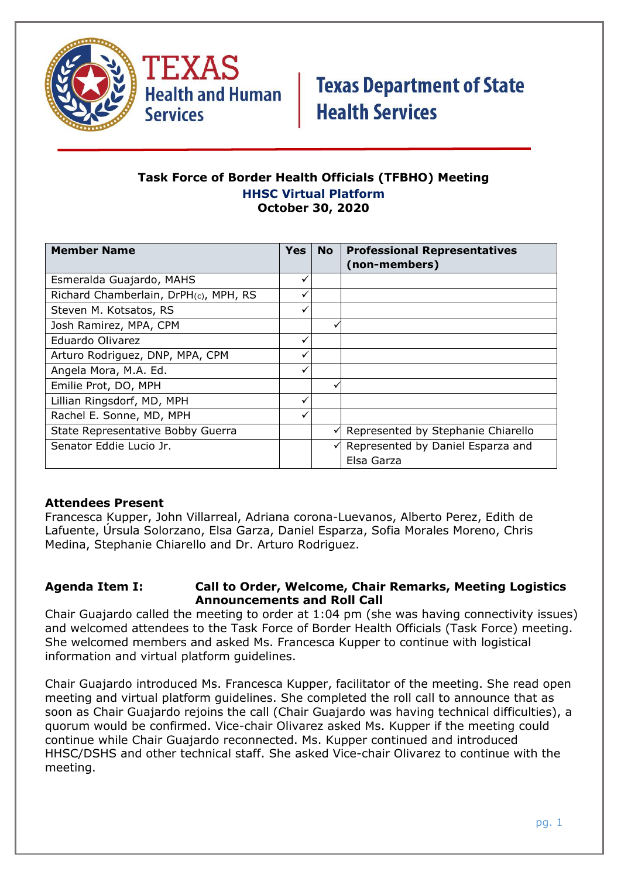

TEXAS **Health and Human Services** 

# **Texas Department of State Health Services**

### **Task Force of Border Health Officials (TFBHO) Meeting HHSC Virtual Platform October 30, 2020**

| <b>Member Name</b>                    | <b>Yes</b> | <b>No</b> | <b>Professional Representatives</b> |
|---------------------------------------|------------|-----------|-------------------------------------|
|                                       |            |           | (non-members)                       |
| Esmeralda Guajardo, MAHS              |            |           |                                     |
| Richard Chamberlain, DrPH(c), MPH, RS |            |           |                                     |
| Steven M. Kotsatos, RS                | ✓          |           |                                     |
| Josh Ramirez, MPA, CPM                |            | v         |                                     |
| Eduardo Olivarez                      | ✓          |           |                                     |
| Arturo Rodriguez, DNP, MPA, CPM       |            |           |                                     |
| Angela Mora, M.A. Ed.                 | ✓          |           |                                     |
| Emilie Prot, DO, MPH                  |            |           |                                     |
| Lillian Ringsdorf, MD, MPH            |            |           |                                     |
| Rachel E. Sonne, MD, MPH              |            |           |                                     |
| State Representative Bobby Guerra     |            | ✓         | Represented by Stephanie Chiarello  |
| Senator Eddie Lucio Jr.               |            | ✓         | Represented by Daniel Esparza and   |
|                                       |            |           | Elsa Garza                          |

### **Attendees Present**

Francesca Kupper, John Villarreal, Adriana corona-Luevanos, Alberto Perez, Edith de Lafuente, Úrsula Solorzano, Elsa Garza, Daniel Esparza, Sofia Morales Moreno, Chris Medina, Stephanie Chiarello and Dr. Arturo Rodriguez.

#### **Agenda Item I: Call to Order, Welcome, Chair Remarks, Meeting Logistics Announcements and Roll Call**

Chair Guajardo called the meeting to order at 1:04 pm (she was having connectivity issues) and welcomed attendees to the Task Force of Border Health Officials (Task Force) meeting. She welcomed members and asked Ms. Francesca Kupper to continue with logistical information and virtual platform guidelines.

Chair Guajardo introduced Ms. Francesca Kupper, facilitator of the meeting. She read open meeting and virtual platform guidelines. She completed the roll call to announce that as soon as Chair Guajardo rejoins the call (Chair Guajardo was having technical difficulties), a quorum would be confirmed. Vice-chair Olivarez asked Ms. Kupper if the meeting could continue while Chair Guajardo reconnected. Ms. Kupper continued and introduced HHSC/DSHS and other technical staff. She asked Vice-chair Olivarez to continue with the meeting.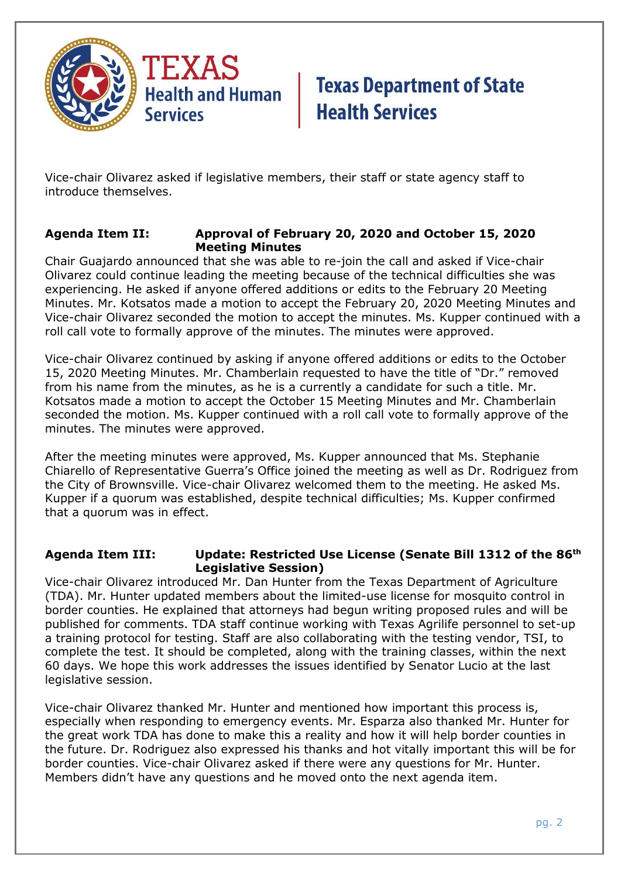

Vice-chair Olivarez asked if legislative members, their staff or state agency staff to introduce themselves.

### **Agenda Item II: Approval of February 20, 2020 and October 15, 2020 Meeting Minutes**

Chair Guajardo announced that she was able to re-join the call and asked if Vice-chair Olivarez could continue leading the meeting because of the technical difficulties she was experiencing. He asked if anyone offered additions or edits to the February 20 Meeting Minutes. Mr. Kotsatos made a motion to accept the February 20, 2020 Meeting Minutes and Vice-chair Olivarez seconded the motion to accept the minutes. Ms. Kupper continued with a roll call vote to formally approve of the minutes. The minutes were approved.

Vice-chair Olivarez continued by asking if anyone offered additions or edits to the October 15, 2020 Meeting Minutes. Mr. Chamberlain requested to have the title of "Dr." removed from his name from the minutes, as he is a currently a candidate for such a title. Mr. Kotsatos made a motion to accept the October 15 Meeting Minutes and Mr. Chamberlain seconded the motion. Ms. Kupper continued with a roll call vote to formally approve of the minutes. The minutes were approved.

After the meeting minutes were approved, Ms. Kupper announced that Ms. Stephanie Chiarello of Representative Guerra's Office joined the meeting as well as Dr. Rodriguez from the City of Brownsville. Vice-chair Olivarez welcomed them to the meeting. He asked Ms. Kupper if a quorum was established, despite technical difficulties; Ms. Kupper confirmed that a quorum was in effect.

### **Agenda Item III: Update: Restricted Use License (Senate Bill 1312 of the 86th Legislative Session)**

Vice-chair Olivarez introduced Mr. Dan Hunter from the Texas Department of Agriculture (TDA). Mr. Hunter updated members about the limited-use license for mosquito control in border counties. He explained that attorneys had begun writing proposed rules and will be published for comments. TDA staff continue working with Texas Agrilife personnel to set-up a training protocol for testing. Staff are also collaborating with the testing vendor, TSI, to complete the test. It should be completed, along with the training classes, within the next 60 days. We hope this work addresses the issues identified by Senator Lucio at the last legislative session.

Vice-chair Olivarez thanked Mr. Hunter and mentioned how important this process is, especially when responding to emergency events. Mr. Esparza also thanked Mr. Hunter for the great work TDA has done to make this a reality and how it will help border counties in the future. Dr. Rodriguez also expressed his thanks and hot vitally important this will be for border counties. Vice-chair Olivarez asked if there were any questions for Mr. Hunter. Members didn't have any questions and he moved onto the next agenda item.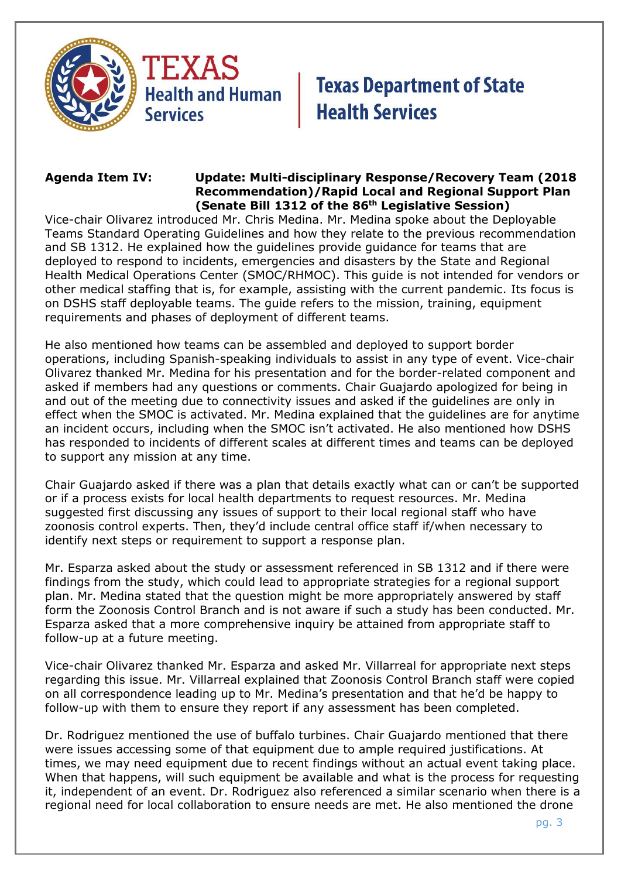



### **Agenda Item IV: Update: Multi-disciplinary Response/Recovery Team (2018 Recommendation)/Rapid Local and Regional Support Plan (Senate Bill 1312 of the 86th Legislative Session)**

Vice-chair Olivarez introduced Mr. Chris Medina. Mr. Medina spoke about the Deployable Teams Standard Operating Guidelines and how they relate to the previous recommendation and SB 1312. He explained how the guidelines provide guidance for teams that are deployed to respond to incidents, emergencies and disasters by the State and Regional Health Medical Operations Center (SMOC/RHMOC). This guide is not intended for vendors or other medical staffing that is, for example, assisting with the current pandemic. Its focus is on DSHS staff deployable teams. The guide refers to the mission, training, equipment requirements and phases of deployment of different teams.

He also mentioned how teams can be assembled and deployed to support border operations, including Spanish-speaking individuals to assist in any type of event. Vice-chair Olivarez thanked Mr. Medina for his presentation and for the border-related component and asked if members had any questions or comments. Chair Guajardo apologized for being in and out of the meeting due to connectivity issues and asked if the guidelines are only in effect when the SMOC is activated. Mr. Medina explained that the guidelines are for anytime an incident occurs, including when the SMOC isn't activated. He also mentioned how DSHS has responded to incidents of different scales at different times and teams can be deployed to support any mission at any time.

Chair Guajardo asked if there was a plan that details exactly what can or can't be supported or if a process exists for local health departments to request resources. Mr. Medina suggested first discussing any issues of support to their local regional staff who have zoonosis control experts. Then, they'd include central office staff if/when necessary to identify next steps or requirement to support a response plan.

Mr. Esparza asked about the study or assessment referenced in SB 1312 and if there were findings from the study, which could lead to appropriate strategies for a regional support plan. Mr. Medina stated that the question might be more appropriately answered by staff form the Zoonosis Control Branch and is not aware if such a study has been conducted. Mr. Esparza asked that a more comprehensive inquiry be attained from appropriate staff to follow-up at a future meeting.

Vice-chair Olivarez thanked Mr. Esparza and asked Mr. Villarreal for appropriate next steps regarding this issue. Mr. Villarreal explained that Zoonosis Control Branch staff were copied on all correspondence leading up to Mr. Medina's presentation and that he'd be happy to follow-up with them to ensure they report if any assessment has been completed.

Dr. Rodriguez mentioned the use of buffalo turbines. Chair Guajardo mentioned that there were issues accessing some of that equipment due to ample required justifications. At times, we may need equipment due to recent findings without an actual event taking place. When that happens, will such equipment be available and what is the process for requesting it, independent of an event. Dr. Rodriguez also referenced a similar scenario when there is a regional need for local collaboration to ensure needs are met. He also mentioned the drone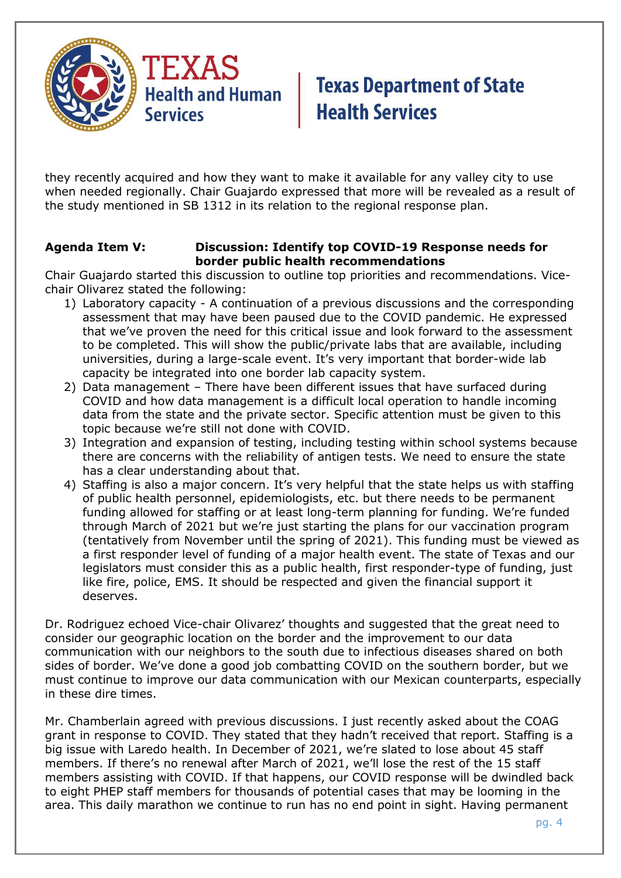

they recently acquired and how they want to make it available for any valley city to use when needed regionally. Chair Guajardo expressed that more will be revealed as a result of the study mentioned in SB 1312 in its relation to the regional response plan.

### **Agenda Item V: Discussion: Identify top COVID-19 Response needs for border public health recommendations**

Chair Guajardo started this discussion to outline top priorities and recommendations. Vicechair Olivarez stated the following:

- 1) Laboratory capacity A continuation of a previous discussions and the corresponding assessment that may have been paused due to the COVID pandemic. He expressed that we've proven the need for this critical issue and look forward to the assessment to be completed. This will show the public/private labs that are available, including universities, during a large-scale event. It's very important that border-wide lab capacity be integrated into one border lab capacity system.
- 2) Data management There have been different issues that have surfaced during COVID and how data management is a difficult local operation to handle incoming data from the state and the private sector. Specific attention must be given to this topic because we're still not done with COVID.
- 3) Integration and expansion of testing, including testing within school systems because there are concerns with the reliability of antigen tests. We need to ensure the state has a clear understanding about that.
- 4) Staffing is also a major concern. It's very helpful that the state helps us with staffing of public health personnel, epidemiologists, etc. but there needs to be permanent funding allowed for staffing or at least long-term planning for funding. We're funded through March of 2021 but we're just starting the plans for our vaccination program (tentatively from November until the spring of 2021). This funding must be viewed as a first responder level of funding of a major health event. The state of Texas and our legislators must consider this as a public health, first responder-type of funding, just like fire, police, EMS. It should be respected and given the financial support it deserves.

Dr. Rodriguez echoed Vice-chair Olivarez' thoughts and suggested that the great need to consider our geographic location on the border and the improvement to our data communication with our neighbors to the south due to infectious diseases shared on both sides of border. We've done a good job combatting COVID on the southern border, but we must continue to improve our data communication with our Mexican counterparts, especially in these dire times.

Mr. Chamberlain agreed with previous discussions. I just recently asked about the COAG grant in response to COVID. They stated that they hadn't received that report. Staffing is a big issue with Laredo health. In December of 2021, we're slated to lose about 45 staff members. If there's no renewal after March of 2021, we'll lose the rest of the 15 staff members assisting with COVID. If that happens, our COVID response will be dwindled back to eight PHEP staff members for thousands of potential cases that may be looming in the area. This daily marathon we continue to run has no end point in sight. Having permanent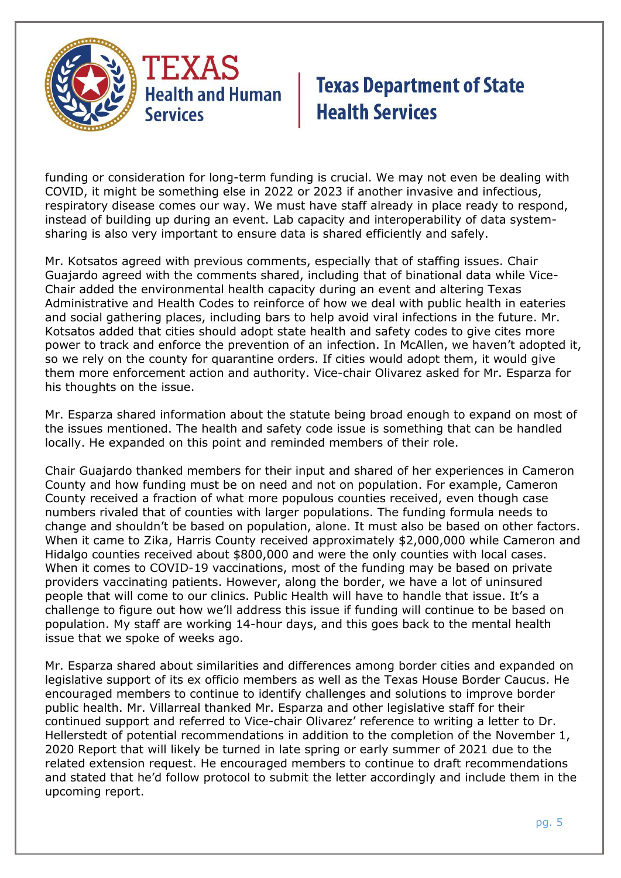

funding or consideration for long-term funding is crucial. We may not even be dealing with COVID, it might be something else in 2022 or 2023 if another invasive and infectious, respiratory disease comes our way. We must have staff already in place ready to respond, instead of building up during an event. Lab capacity and interoperability of data systemsharing is also very important to ensure data is shared efficiently and safely.

Mr. Kotsatos agreed with previous comments, especially that of staffing issues. Chair Guajardo agreed with the comments shared, including that of binational data while Vice-Chair added the environmental health capacity during an event and altering Texas Administrative and Health Codes to reinforce of how we deal with public health in eateries and social gathering places, including bars to help avoid viral infections in the future. Mr. Kotsatos added that cities should adopt state health and safety codes to give cites more power to track and enforce the prevention of an infection. In McAllen, we haven't adopted it, so we rely on the county for quarantine orders. If cities would adopt them, it would give them more enforcement action and authority. Vice-chair Olivarez asked for Mr. Esparza for his thoughts on the issue.

Mr. Esparza shared information about the statute being broad enough to expand on most of the issues mentioned. The health and safety code issue is something that can be handled locally. He expanded on this point and reminded members of their role.

Chair Guajardo thanked members for their input and shared of her experiences in Cameron County and how funding must be on need and not on population. For example, Cameron County received a fraction of what more populous counties received, even though case numbers rivaled that of counties with larger populations. The funding formula needs to change and shouldn't be based on population, alone. It must also be based on other factors. When it came to Zika, Harris County received approximately \$2,000,000 while Cameron and Hidalgo counties received about \$800,000 and were the only counties with local cases. When it comes to COVID-19 vaccinations, most of the funding may be based on private providers vaccinating patients. However, along the border, we have a lot of uninsured people that will come to our clinics. Public Health will have to handle that issue. It's a challenge to figure out how we'll address this issue if funding will continue to be based on population. My staff are working 14-hour days, and this goes back to the mental health issue that we spoke of weeks ago.

Mr. Esparza shared about similarities and differences among border cities and expanded on legislative support of its ex officio members as well as the Texas House Border Caucus. He encouraged members to continue to identify challenges and solutions to improve border public health. Mr. Villarreal thanked Mr. Esparza and other legislative staff for their continued support and referred to Vice-chair Olivarez' reference to writing a letter to Dr. Hellerstedt of potential recommendations in addition to the completion of the November 1, 2020 Report that will likely be turned in late spring or early summer of 2021 due to the related extension request. He encouraged members to continue to draft recommendations and stated that he'd follow protocol to submit the letter accordingly and include them in the upcoming report.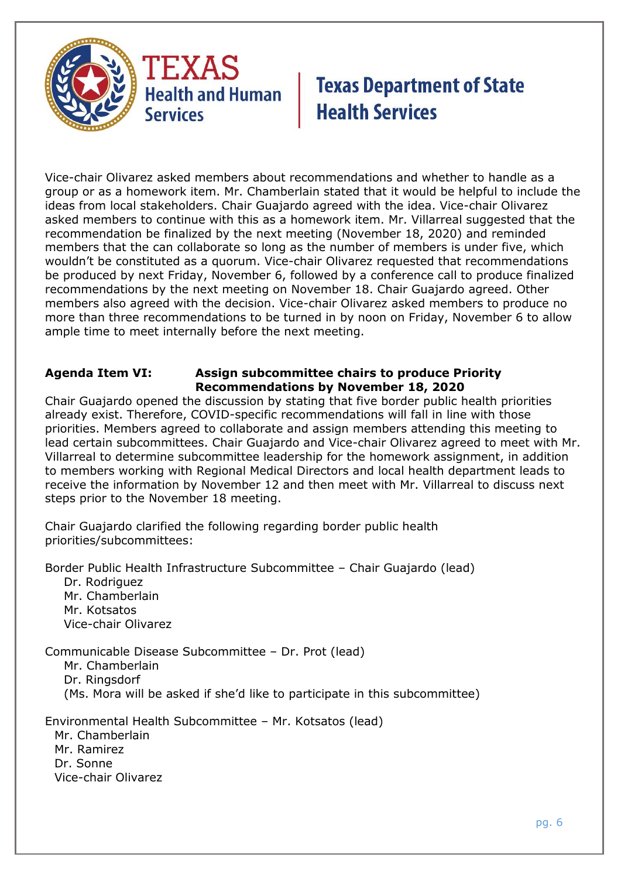

Vice-chair Olivarez asked members about recommendations and whether to handle as a group or as a homework item. Mr. Chamberlain stated that it would be helpful to include the ideas from local stakeholders. Chair Guajardo agreed with the idea. Vice-chair Olivarez asked members to continue with this as a homework item. Mr. Villarreal suggested that the recommendation be finalized by the next meeting (November 18, 2020) and reminded members that the can collaborate so long as the number of members is under five, which wouldn't be constituted as a quorum. Vice-chair Olivarez requested that recommendations be produced by next Friday, November 6, followed by a conference call to produce finalized recommendations by the next meeting on November 18. Chair Guajardo agreed. Other members also agreed with the decision. Vice-chair Olivarez asked members to produce no more than three recommendations to be turned in by noon on Friday, November 6 to allow ample time to meet internally before the next meeting.

### **Agenda Item VI: Assign subcommittee chairs to produce Priority Recommendations by November 18, 2020**

Chair Guajardo opened the discussion by stating that five border public health priorities already exist. Therefore, COVID-specific recommendations will fall in line with those priorities. Members agreed to collaborate and assign members attending this meeting to lead certain subcommittees. Chair Guajardo and Vice-chair Olivarez agreed to meet with Mr. Villarreal to determine subcommittee leadership for the homework assignment, in addition to members working with Regional Medical Directors and local health department leads to receive the information by November 12 and then meet with Mr. Villarreal to discuss next steps prior to the November 18 meeting.

Chair Guajardo clarified the following regarding border public health priorities/subcommittees:

Border Public Health Infrastructure Subcommittee – Chair Guajardo (lead)

Dr. Rodriguez Mr. Chamberlain Mr. Kotsatos Vice-chair Olivarez

Communicable Disease Subcommittee – Dr. Prot (lead)

Mr. Chamberlain Dr. Ringsdorf (Ms. Mora will be asked if she'd like to participate in this subcommittee)

Environmental Health Subcommittee – Mr. Kotsatos (lead) Mr. Chamberlain Mr. Ramirez Dr. Sonne Vice-chair Olivarez